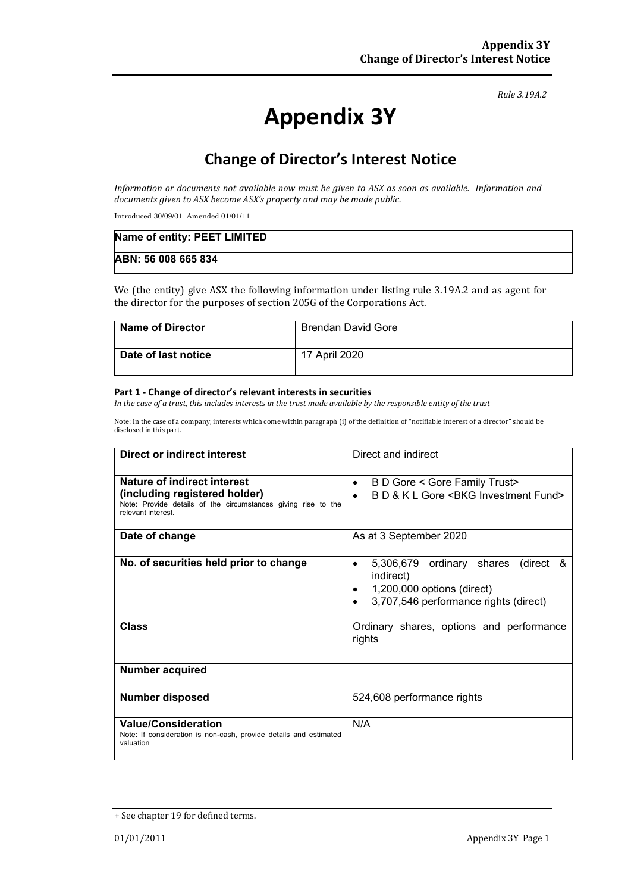#### *Rule 3.19A.2*

# **Appendix 3Y**

# **Change of Director's Interest Notice**

*Information or documents not available now must be given to ASX as soon as available. Information and documents given to ASX become ASX's property and may be made public.*

Introduced 30/09/01 Amended 01/01/11

| Name of entity: PEET LIMITED |  |
|------------------------------|--|
| ABN: 56 008 665 834          |  |

We (the entity) give ASX the following information under listing rule 3.19A.2 and as agent for the director for the purposes of section 205G of the Corporations Act.

| <b>Name of Director</b> | Brendan David Gore |
|-------------------------|--------------------|
| Date of last notice     | 17 April 2020      |

#### **Part 1 - Change of director's relevant interests in securities**

*In the case of a trust, this includes interests in the trust made available by the responsible entity of the trust*

Note: In the case of a company, interests which come within paragraph (i) of the definition of "notifiable interest of a director" should be disclosed in this part.

| <b>Direct or indirect interest</b>                                                                                   | Direct and indirect                                                                                                                  |  |
|----------------------------------------------------------------------------------------------------------------------|--------------------------------------------------------------------------------------------------------------------------------------|--|
| Nature of indirect interest                                                                                          | B D Gore < Gore Family Trust><br>$\bullet$                                                                                           |  |
| (including registered holder)<br>Note: Provide details of the circumstances giving rise to the<br>relevant interest. | B D & K L Gore < BKG Investment Fund>                                                                                                |  |
| Date of change                                                                                                       | As at 3 September 2020                                                                                                               |  |
| No. of securities held prior to change                                                                               | 5,306,679 ordinary shares (direct &<br>$\bullet$<br>indirect)<br>1,200,000 options (direct)<br>3,707,546 performance rights (direct) |  |
| <b>Class</b>                                                                                                         | Ordinary shares, options and performance<br>rights                                                                                   |  |
| <b>Number acquired</b>                                                                                               |                                                                                                                                      |  |
| <b>Number disposed</b>                                                                                               | 524,608 performance rights                                                                                                           |  |
| <b>Value/Consideration</b><br>Note: If consideration is non-cash, provide details and estimated<br>valuation         | N/A                                                                                                                                  |  |

<sup>+</sup> See chapter 19 for defined terms.